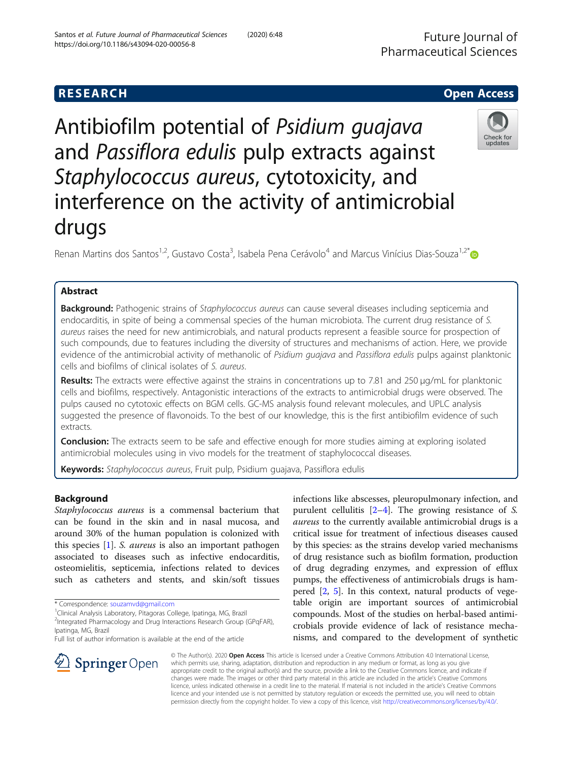# **RESEARCH CHE Open Access**

Antibiofilm potential of Psidium guajava and Passiflora edulis pulp extracts against Staphylococcus aureus, cytotoxicity, and interference on the activity of antimicrobial drugs

Renan Martins dos Santos<sup>1,2</sup>, Gustavo Costa<sup>3</sup>, Isabela Pena Cerávolo<sup>4</sup> and Marcus Vinícius Dias-Souza<sup>1,2\*</sup>

# Abstract

Background: Pathogenic strains of Staphylococcus aureus can cause several diseases including septicemia and endocarditis, in spite of being a commensal species of the human microbiota. The current drug resistance of S. aureus raises the need for new antimicrobials, and natural products represent a feasible source for prospection of such compounds, due to features including the diversity of structures and mechanisms of action. Here, we provide evidence of the antimicrobial activity of methanolic of Psidium quajava and Passiflora edulis pulps against planktonic cells and biofilms of clinical isolates of S. aureus.

Results: The extracts were effective against the strains in concentrations up to 7.81 and 250 µg/mL for planktonic cells and biofilms, respectively. Antagonistic interactions of the extracts to antimicrobial drugs were observed. The pulps caused no cytotoxic effects on BGM cells. GC-MS analysis found relevant molecules, and UPLC analysis suggested the presence of flavonoids. To the best of our knowledge, this is the first antibiofilm evidence of such extracts.

**Conclusion:** The extracts seem to be safe and effective enough for more studies aiming at exploring isolated antimicrobial molecules using in vivo models for the treatment of staphylococcal diseases.

Keywords: Staphylococcus aureus, Fruit pulp, Psidium quajava, Passiflora edulis

# Background

Staphylococcus aureus is a commensal bacterium that can be found in the skin and in nasal mucosa, and around 30% of the human population is colonized with this species [\[1](#page-5-0)]. S. aureus is also an important pathogen associated to diseases such as infective endocarditis, osteomielitis, septicemia, infections related to devices such as catheters and stents, and skin/soft tissues

**Springer** Open

<sup>2</sup>Integrated Pharmacology and Drug Interactions Research Group (GPqFAR), Ipatinga, MG, Brazil

Full list of author information is available at the end of the article

purulent cellulitis [\[2](#page-5-0)–[4\]](#page-5-0). The growing resistance of S. aureus to the currently available antimicrobial drugs is a critical issue for treatment of infectious diseases caused by this species: as the strains develop varied mechanisms of drug resistance such as biofilm formation, production of drug degrading enzymes, and expression of efflux pumps, the effectiveness of antimicrobials drugs is hampered [\[2](#page-5-0), [5\]](#page-5-0). In this context, natural products of vegetable origin are important sources of antimicrobial compounds. Most of the studies on herbal-based antimicrobials provide evidence of lack of resistance mechanisms, and compared to the development of synthetic

infections like abscesses, pleuropulmonary infection, and

© The Author(s). 2020 Open Access This article is licensed under a Creative Commons Attribution 4.0 International License, which permits use, sharing, adaptation, distribution and reproduction in any medium or format, as long as you give appropriate credit to the original author(s) and the source, provide a link to the Creative Commons licence, and indicate if changes were made. The images or other third party material in this article are included in the article's Creative Commons licence, unless indicated otherwise in a credit line to the material. If material is not included in the article's Creative Commons licence and your intended use is not permitted by statutory regulation or exceeds the permitted use, you will need to obtain permission directly from the copyright holder. To view a copy of this licence, visit <http://creativecommons.org/licenses/by/4.0/>.







<sup>\*</sup> Correspondence: [souzamvd@gmail.com](mailto:souzamvd@gmail.com) <sup>1</sup>

<sup>&</sup>lt;sup>1</sup>Clinical Analysis Laboratory, Pitagoras College, Ipatinga, MG, Brazil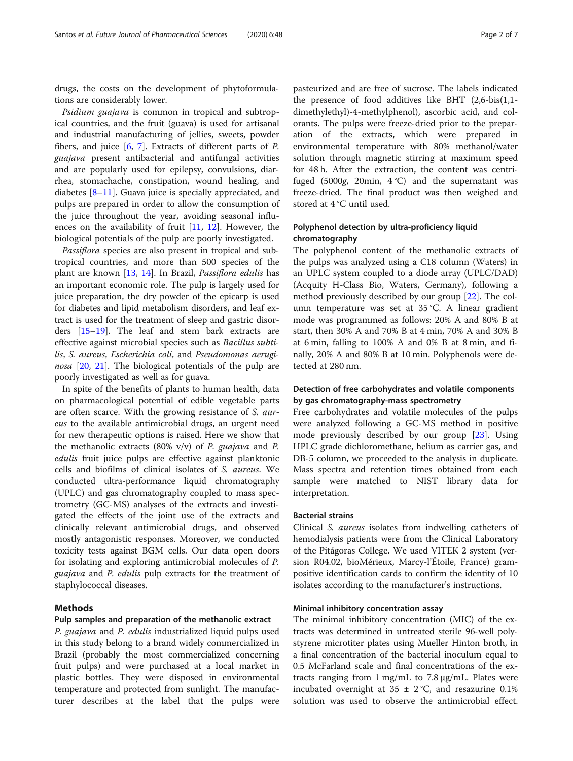drugs, the costs on the development of phytoformulations are considerably lower.

Psidium guajava is common in tropical and subtropical countries, and the fruit (guava) is used for artisanal and industrial manufacturing of jellies, sweets, powder fibers, and juice  $[6, 7]$  $[6, 7]$  $[6, 7]$  $[6, 7]$ . Extracts of different parts of P. guajava present antibacterial and antifungal activities and are popularly used for epilepsy, convulsions, diarrhea, stomachache, constipation, wound healing, and diabetes [\[8](#page-5-0)–[11\]](#page-5-0). Guava juice is specially appreciated, and pulps are prepared in order to allow the consumption of the juice throughout the year, avoiding seasonal influences on the availability of fruit [\[11](#page-5-0), [12](#page-6-0)]. However, the biological potentials of the pulp are poorly investigated.

Passiflora species are also present in tropical and subtropical countries, and more than 500 species of the plant are known [\[13](#page-6-0), [14\]](#page-6-0). In Brazil, Passiflora edulis has an important economic role. The pulp is largely used for juice preparation, the dry powder of the epicarp is used for diabetes and lipid metabolism disorders, and leaf extract is used for the treatment of sleep and gastric disorders [[15](#page-6-0)–[19](#page-6-0)]. The leaf and stem bark extracts are effective against microbial species such as Bacillus subtilis, S. aureus, Escherichia coli, and Pseudomonas aerugi-nosa [[20,](#page-6-0) [21\]](#page-6-0). The biological potentials of the pulp are poorly investigated as well as for guava.

In spite of the benefits of plants to human health, data on pharmacological potential of edible vegetable parts are often scarce. With the growing resistance of S. aureus to the available antimicrobial drugs, an urgent need for new therapeutic options is raised. Here we show that the methanolic extracts (80% v/v) of *P. guajava* and *P.* edulis fruit juice pulps are effective against planktonic cells and biofilms of clinical isolates of S. aureus. We conducted ultra-performance liquid chromatography (UPLC) and gas chromatography coupled to mass spectrometry (GC-MS) analyses of the extracts and investigated the effects of the joint use of the extracts and clinically relevant antimicrobial drugs, and observed mostly antagonistic responses. Moreover, we conducted toxicity tests against BGM cells. Our data open doors for isolating and exploring antimicrobial molecules of P. guajava and P. edulis pulp extracts for the treatment of staphylococcal diseases.

### Methods

### Pulp samples and preparation of the methanolic extract

P. guajava and P. edulis industrialized liquid pulps used in this study belong to a brand widely commercialized in Brazil (probably the most commercialized concerning fruit pulps) and were purchased at a local market in plastic bottles. They were disposed in environmental temperature and protected from sunlight. The manufacturer describes at the label that the pulps were

pasteurized and are free of sucrose. The labels indicated the presence of food additives like BHT (2,6-bis(1,1 dimethylethyl)-4-methylphenol), ascorbic acid, and colorants. The pulps were freeze-dried prior to the preparation of the extracts, which were prepared in environmental temperature with 80% methanol/water solution through magnetic stirring at maximum speed for 48 h. After the extraction, the content was centrifuged (5000g, 20min,  $4^{\circ}$ C) and the supernatant was freeze-dried. The final product was then weighed and stored at 4 °C until used.

### Polyphenol detection by ultra-proficiency liquid chromatography

The polyphenol content of the methanolic extracts of the pulps was analyzed using a C18 column (Waters) in an UPLC system coupled to a diode array (UPLC/DAD) (Acquity H-Class Bio, Waters, Germany), following a method previously described by our group [\[22](#page-6-0)]. The column temperature was set at 35 °C. A linear gradient mode was programmed as follows: 20% A and 80% B at start, then 30% A and 70% B at 4 min, 70% A and 30% B at 6 min, falling to 100% A and 0% B at 8 min, and finally, 20% A and 80% B at 10 min. Polyphenols were detected at 280 nm.

### Detection of free carbohydrates and volatile components by gas chromatography-mass spectrometry

Free carbohydrates and volatile molecules of the pulps were analyzed following a GC-MS method in positive mode previously described by our group [[23\]](#page-6-0). Using HPLC grade dichloromethane, helium as carrier gas, and DB-5 column, we proceeded to the analysis in duplicate. Mass spectra and retention times obtained from each sample were matched to NIST library data for interpretation.

#### Bacterial strains

Clinical S. aureus isolates from indwelling catheters of hemodialysis patients were from the Clinical Laboratory of the Pitágoras College. We used VITEK 2 system (version R04.02, bioMérieux, Marcy-l'Étoile, France) grampositive identification cards to confirm the identity of 10 isolates according to the manufacturer's instructions.

### Minimal inhibitory concentration assay

The minimal inhibitory concentration (MIC) of the extracts was determined in untreated sterile 96-well polystyrene microtiter plates using Mueller Hinton broth, in a final concentration of the bacterial inoculum equal to 0.5 McFarland scale and final concentrations of the extracts ranging from  $1 \text{ mg/mL}$  to  $7.8 \text{ µg/mL}$ . Plates were incubated overnight at  $35 \pm 2$  °C, and resazurine 0.1% solution was used to observe the antimicrobial effect.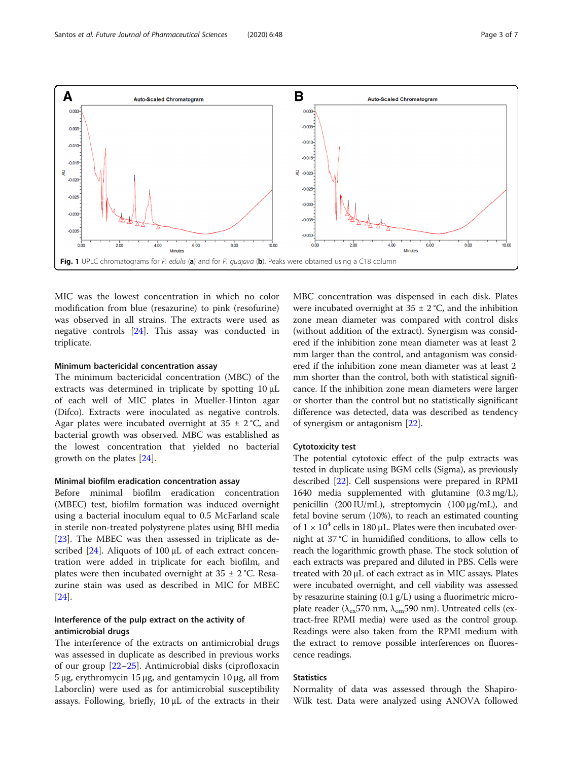<span id="page-2-0"></span>

MIC was the lowest concentration in which no color modification from blue (resazurine) to pink (resofurine) was observed in all strains. The extracts were used as negative controls [\[24](#page-6-0)]. This assay was conducted in triplicate.

### Minimum bactericidal concentration assay

The minimum bactericidal concentration (MBC) of the extracts was determined in triplicate by spotting 10 μL of each well of MIC plates in Mueller-Hinton agar (Difco). Extracts were inoculated as negative controls. Agar plates were incubated overnight at  $35 \pm 2$  °C, and bacterial growth was observed. MBC was established as the lowest concentration that yielded no bacterial growth on the plates [\[24](#page-6-0)].

#### Minimal biofilm eradication concentration assay

Before minimal biofilm eradication concentration (MBEC) test, biofilm formation was induced overnight using a bacterial inoculum equal to 0.5 McFarland scale in sterile non-treated polystyrene plates using BHI media [[23\]](#page-6-0). The MBEC was then assessed in triplicate as described [[24](#page-6-0)]. Aliquots of 100 μL of each extract concentration were added in triplicate for each biofilm, and plates were then incubated overnight at  $35 \pm 2$  °C. Resazurine stain was used as described in MIC for MBEC [[24\]](#page-6-0).

### Interference of the pulp extract on the activity of antimicrobial drugs

The interference of the extracts on antimicrobial drugs was assessed in duplicate as described in previous works of our group [\[22](#page-6-0)–[25\]](#page-6-0). Antimicrobial disks (ciprofloxacin 5 μg, erythromycin 15 μg, and gentamycin 10 μg, all from Laborclin) were used as for antimicrobial susceptibility assays. Following, briefly, 10 μL of the extracts in their MBC concentration was dispensed in each disk. Plates were incubated overnight at  $35 \pm 2$  °C, and the inhibition zone mean diameter was compared with control disks (without addition of the extract). Synergism was considered if the inhibition zone mean diameter was at least 2 mm larger than the control, and antagonism was considered if the inhibition zone mean diameter was at least 2 mm shorter than the control, both with statistical significance. If the inhibition zone mean diameters were larger or shorter than the control but no statistically significant difference was detected, data was described as tendency of synergism or antagonism [\[22](#page-6-0)].

### Cytotoxicity test

The potential cytotoxic effect of the pulp extracts was tested in duplicate using BGM cells (Sigma), as previously described [[22](#page-6-0)]. Cell suspensions were prepared in RPMI 1640 media supplemented with glutamine (0.3 mg/L), penicillin (200 IU/mL), streptomycin (100 μg/mL), and fetal bovine serum (10%), to reach an estimated counting of  $1 \times 10^4$  cells in 180 μL. Plates were then incubated overnight at 37 °C in humidified conditions, to allow cells to reach the logarithmic growth phase. The stock solution of each extracts was prepared and diluted in PBS. Cells were treated with 20 μL of each extract as in MIC assays. Plates were incubated overnight, and cell viability was assessed by resazurine staining (0.1 g/L) using a fluorimetric microplate reader ( $λ_{ex}$ 570 nm,  $λ_{em}$ 590 nm). Untreated cells (extract-free RPMI media) were used as the control group. Readings were also taken from the RPMI medium with the extract to remove possible interferences on fluorescence readings.

### **Statistics**

Normality of data was assessed through the Shapiro-Wilk test. Data were analyzed using ANOVA followed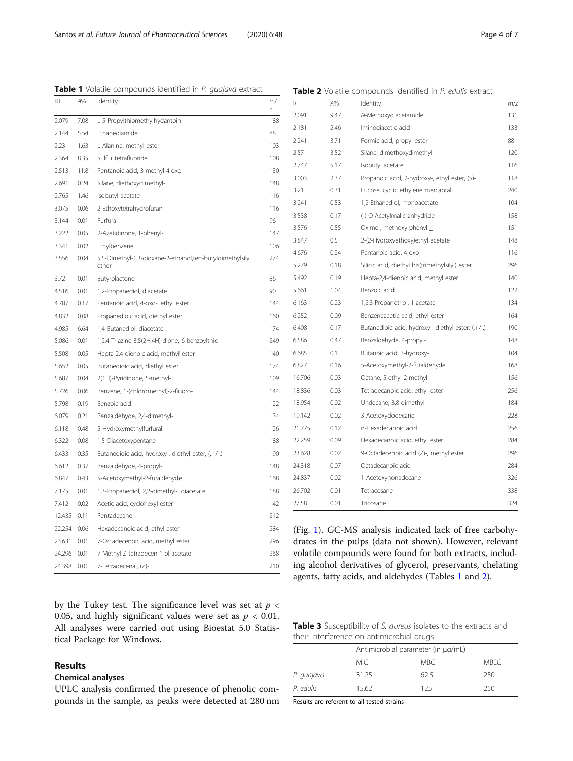<span id="page-3-0"></span>

| Table 1 Volatile compounds identified in P. guajava extract |  |
|-------------------------------------------------------------|--|
|-------------------------------------------------------------|--|

Table 2 Volatile compounds identified in P. edulis extract

| RT          | A%    | Identity                                                   | m/<br>Ζ | RT     | A%   | Identity                                                    | m/z        |
|-------------|-------|------------------------------------------------------------|---------|--------|------|-------------------------------------------------------------|------------|
| 2.079       | 7.08  | L-5-Propylthiomethylhydantoin                              | 188     | 2.091  | 9.47 | N-Methoxydiacetamide                                        | 131        |
| 2.144       | 5.54  | Ethanediamide                                              | 88      | 2.181  | 2.46 | Iminodiacetic acid                                          | 133        |
| 2.23        | 1.63  | L-Alanine, methyl ester                                    | 103     | 2.241  | 3.71 | Formic acid, propyl ester                                   | 88         |
| 2.364       | 8.35  | Sulfur tetrafluoride                                       | 108     | 2.57   | 3.52 | Silane, dimethoxydimethyl-                                  | 120        |
| 2.513       | 11.81 | Pentanoic acid, 3-methyl-4-oxo-                            | 130     | 2.747  | 5.17 | Isobutyl acetate                                            | 116        |
| 2.691       | 0.24  | Silane, diethoxydimethyl-                                  | 148     | 3.003  | 2.37 | Propanoic acid, 2-hydroxy-, ethyl ester, (S)-               | 118        |
| 2.765       | 1.46  | Isobutyl acetate                                           | 116     | 3.21   | 0.31 | Fucose, cyclic ethylene mercaptal                           | 240        |
| 3.075       | 0.06  | 2-Ethoxytetrahydrofuran                                    | 116     | 3.241  | 0.53 | 1,2-Ethanediol, monoacetate                                 | 104        |
| 3.144       | 0.01  | Furfural                                                   | 96      | 3.538  | 0.17 | (-)-O-Acetylmalic anhydride                                 | 158        |
| 3.222       | 0.05  | 2-Azetidinone, 1-phenyl-                                   | 147     | 3.576  | 0.55 | Oxime-, methoxy-phenyl-                                     | 151        |
| 3.341       | 0.02  | Ethylbenzene                                               | 106     | 3.847  | 0.5  | 2-(2-Hydroxyethoxy)ethyl acetate                            | 148        |
| 3.556       | 0.04  | 5,5-Dimethyl-1,3-dioxane-2-ethanol,tert-butyldimethylsilyl | 274     | 4.676  | 0.24 | Pentanoic acid, 4-oxo-                                      | 116        |
|             |       | ether                                                      |         | 5.279  | 0.18 | Silicic acid, diethyl bis(trimethylsilyl) ester             | 296        |
| 3.72        | 0.01  | Butyrolactone                                              | 86      | 5.492  | 0.19 | Hepta-2,4-dienoic acid, methyl ester                        | <b>140</b> |
| 4.516       | 0.01  | 1,2-Propanediol, diacetate                                 | 90      | 5.661  | 1.04 | Benzoic acid                                                | 122        |
| 4.787       | 0.17  | Pentanoic acid, 4-oxo-, ethyl ester                        | 144     | 6.163  | 0.23 | 1,2,3-Propanetriol, 1-acetate                               | 134        |
| 4.832       | 0.08  | Propanedioic acid, diethyl ester                           | 160     | 6.252  | 0.09 | Benzeneacetic acid, ethyl ester                             | 164        |
| 4.985       | 6.64  | 1,4-Butanediol, diacetate                                  | 174     | 6.408  | 0.17 | Butanedioic acid, hydroxy-, diethyl ester, (.+/-.)-         | 190        |
| 5.086       | 0.01  | 1,2,4-Triazine-3,5(2H,4H)-dione, 6-benzoylthio-            | 249     | 6.586  | 0.47 | Benzaldehyde, 4-propyl-                                     | 148        |
| 5.508       | 0.05  | Hepta-2,4-dienoic acid, methyl ester                       | 140     | 6.685  | 0.1  | Butanoic acid, 3-hydroxy-                                   | 104        |
| 5.652       | 0.05  | Butanedioic acid, diethyl ester                            | 174     | 6.827  | 0.16 | 5-Acetoxymethyl-2-furaldehyde                               | 168        |
| 5.687       | 0.04  | 2(1H)-Pyridinone, 5-methyl-                                | 109     | 16.706 | 0.03 | Octane, 5-ethyl-2-methyl-                                   | 156        |
| 5.726       | 0.06  | Benzene, 1-(chloromethyl)-2-fluoro-                        | 144     | 18.836 | 0.03 | Tetradecanoic acid, ethyl ester                             | 256        |
| 5.798       | 0.19  | Benzoic acid                                               | 122     | 18.954 | 0.02 | Undecane, 3,8-dimethyl-                                     | 184        |
| 6.079       | 0.21  | Benzaldehyde, 2,4-dimethyl-                                | 134     | 19.142 | 0.02 | 3-Acetoxydodecane                                           | 228        |
| 6.118       | 0.48  | 5-Hydroxymethylfurfural                                    | 126     | 21.775 | 0.12 | n-Hexadecanoic acid                                         | 256        |
| 6.322       | 0.08  | 1,5-Diacetoxypentane                                       | 188     | 22.259 | 0.09 | Hexadecanoic acid, ethyl ester                              | 284        |
| 6.433       | 0.35  | Butanedioic acid, hydroxy-, diethyl ester, (.+/-.)-        | 190     | 23.628 | 0.02 | 9-Octadecenoic acid (Z)-, methyl ester                      | 296        |
| 6.612       | 0.37  | Benzaldehyde, 4-propyl-                                    | 148     | 24.318 | 0.07 | Octadecanoic acid                                           | 284        |
| 6.847       | 0.43  | 5-Acetoxymethyl-2-furaldehyde                              | 168     | 24.837 | 0.02 | 1-Acetoxynonadecane                                         | 326        |
| 7.175       | 0.01  | 1,3-Propanediol, 2,2-dimethyl-, diacetate                  | 188     | 26.702 | 0.01 | Tetracosane                                                 | 338        |
| 7.412       | 0.02  | Acetic acid, cyclohexyl ester                              | 142     | 27.58  | 0.01 | Tricosane                                                   | 324        |
| 12.435 0.11 |       | Pentadecane                                                | 212     |        |      |                                                             |            |
| 22.254 0.06 |       | Hexadecanoic acid, ethyl ester                             | 284     |        |      | (Fig. 1). GC-MS analysis indicated lack of free carbohy-    |            |
| 23.631 0.01 |       | 7-Octadecenoic acid, methyl ester                          | 296     |        |      | drates in the pulps (data not shown). However, relevant     |            |
| 24.296 0.01 |       | 7-Methyl-Z-tetradecen-1-ol acetate                         | 268     |        |      | volatile compounds were found for both extracts, includ-    |            |
| 24.398 0.01 |       | 7-Tetradecenal, (Z)-                                       | 210     |        |      | ing alcohol derivatives of glycerol, preservants, chelating |            |

by the Tukey test. The significance level was set at  $p <$ 0.05, and highly significant values were set as  $p < 0.01$ . All analyses were carried out using Bioestat 5.0 Statistical Package for Windows.

# Results

# Chemical analyses

UPLC analysis confirmed the presence of phenolic compounds in the sample, as peaks were detected at 280 nm

Table 3 Susceptibility of S. aureus isolates to the extracts and their interference on antimicrobial drugs

agents, fatty acids, and aldehydes (Tables 1 and 2).

|            | Antimicrobial parameter (in µg/mL) |      |       |  |  |
|------------|------------------------------------|------|-------|--|--|
|            | MIC.                               | MBC. | MBEC. |  |  |
| P. guajava | 31.25                              | 62.5 | 250   |  |  |
| P. edulis  | 15.62                              | 125  | 250   |  |  |

Results are referent to all tested strains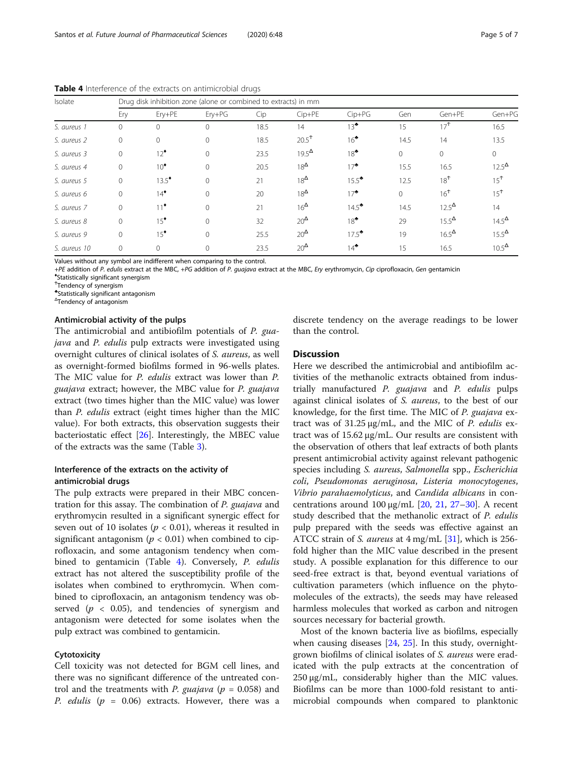| Isolate      | Drug disk inhibition zone (alone or combined to extracts) in mm |                  |              |      |                   |                  |              |                 |                 |
|--------------|-----------------------------------------------------------------|------------------|--------------|------|-------------------|------------------|--------------|-----------------|-----------------|
|              | Ery                                                             | Erv+PE           | $Ery+PG$     | Cip  | $Cip+PE$          | $Cip+PG$         | Gen          | Gen+PE          | Gen+PG          |
| S. aureus 1  | $\overline{0}$                                                  | $\Omega$         | $\Omega$     | 18.5 | 14                | $13^{\bullet}$   | 15           | 17 <sup>†</sup> | 16.5            |
| S. aureus 2  | $\circ$                                                         | $\Omega$         | $\Omega$     | 18.5 | $20.5^{\text{+}}$ | $16^{\bullet}$   | 14.5         | 14              | 13.5            |
| S. aureus 3  | $\overline{0}$                                                  | $12^{\bullet}$   | $\Omega$     | 23.5 | $19.5^{\Delta}$   | $18^{\bullet}$   | $\mathbf{0}$ | $\mathbf{0}$    | $\Omega$        |
| S. aureus 4  | $\overline{0}$                                                  | $10^{\bullet}$   | $\Omega$     | 20.5 | $18^{\Delta}$     | $17^*$           | 15.5         | 16.5            | $12.5^{\Delta}$ |
| S. aureus 5  | $\circ$                                                         | $13.5^{\bullet}$ | $\mathbf{0}$ | 21   | $18^{\Delta}$     | $15.5^*$         | 12.5         | 18 <sup>†</sup> | 15 <sup>†</sup> |
| S. aureus 6  | $\overline{0}$                                                  | $14^{\bullet}$   | $\Omega$     | 20   | $18^{\Delta}$     | $17^*$           | $\mathbf{0}$ | 16 <sup>†</sup> | 15 <sup>†</sup> |
| S. aureus 7  | $\mathbf{0}$                                                    | $11^*$           | $\Omega$     | 21   | $16^{\Delta}$     | $14.5^{\bullet}$ | 14.5         | $12.5^{\Delta}$ | 14              |
| S. aureus 8  | $\circ$                                                         | $15^{\bullet}$   | $\Omega$     | 32   | $20^{\Delta}$     | $18^{\bullet}$   | 29           | $15.5^{\Delta}$ | $14.5^{\Delta}$ |
| S. aureus 9  | $\circ$                                                         | $15^{\bullet}$   | $\Omega$     | 25.5 | $20^{\Delta}$     | $17.5^*$         | 19           | $16.5^{\Delta}$ | $15.5^{\Delta}$ |
| S. aureus 10 | $\overline{0}$                                                  | $\mathbf{0}$     | $\mathbf{0}$ | 23.5 | $20^{\Delta}$     | $14^{\bullet}$   | 15           | 16.5            | $10.5^{\Delta}$ |

Table 4 Interference of the extracts on antimicrobial drugs

Values without any symbol are indifferent when comparing to the control.

+PE addition of P. edulis extract at the MBC, +PG addition of P. guajava extract at the MBC, Ery erythromycin, Cip ciprofloxacin, Gen gentamicin

Statistically significant synergism

Ϯ Tendency of synergism

♣ Statistically significant antagonism

Δ Tendency of antagonism

#### Antimicrobial activity of the pulps

The antimicrobial and antibiofilm potentials of P. guajava and P. edulis pulp extracts were investigated using overnight cultures of clinical isolates of S. aureus, as well as overnight-formed biofilms formed in 96-wells plates. The MIC value for *P. edulis* extract was lower than *P.* guajava extract; however, the MBC value for P. guajava extract (two times higher than the MIC value) was lower than P. edulis extract (eight times higher than the MIC value). For both extracts, this observation suggests their bacteriostatic effect [[26](#page-6-0)]. Interestingly, the MBEC value of the extracts was the same (Table [3\)](#page-3-0).

### Interference of the extracts on the activity of antimicrobial drugs

The pulp extracts were prepared in their MBC concentration for this assay. The combination of P. guajava and erythromycin resulted in a significant synergic effect for seven out of 10 isolates ( $p < 0.01$ ), whereas it resulted in significant antagonism ( $p < 0.01$ ) when combined to ciprofloxacin, and some antagonism tendency when combined to gentamicin (Table 4). Conversely, P. edulis extract has not altered the susceptibility profile of the isolates when combined to erythromycin. When combined to ciprofloxacin, an antagonism tendency was observed ( $p < 0.05$ ), and tendencies of synergism and antagonism were detected for some isolates when the pulp extract was combined to gentamicin.

### **Cytotoxicity**

Cell toxicity was not detected for BGM cell lines, and there was no significant difference of the untreated control and the treatments with *P. guajava* ( $p = 0.058$ ) and *P. edulis* ( $p = 0.06$ ) extracts. However, there was a discrete tendency on the average readings to be lower than the control.

### Discussion

Here we described the antimicrobial and antibiofilm activities of the methanolic extracts obtained from industrially manufactured P. guajava and P. edulis pulps against clinical isolates of S. aureus, to the best of our knowledge, for the first time. The MIC of P. guajava extract was of  $31.25 \mu g/mL$ , and the MIC of P. edulis extract was of 15.62 μg/mL. Our results are consistent with the observation of others that leaf extracts of both plants present antimicrobial activity against relevant pathogenic species including S. aureus, Salmonella spp., Escherichia coli, Pseudomonas aeruginosa, Listeria monocytogenes, Vibrio parahaemolyticus, and Candida albicans in concentrations around  $100 \mu$ g/mL [\[20,](#page-6-0) [21,](#page-6-0) [27](#page-6-0)–[30\]](#page-6-0). A recent study described that the methanolic extract of P. edulis pulp prepared with the seeds was effective against an ATCC strain of S. aureus at  $4$  mg/mL [\[31](#page-6-0)], which is 256fold higher than the MIC value described in the present study. A possible explanation for this difference to our seed-free extract is that, beyond eventual variations of cultivation parameters (which influence on the phytomolecules of the extracts), the seeds may have released harmless molecules that worked as carbon and nitrogen sources necessary for bacterial growth.

Most of the known bacteria live as biofilms, especially when causing diseases [[24](#page-6-0), [25\]](#page-6-0). In this study, overnightgrown biofilms of clinical isolates of S. aureus were eradicated with the pulp extracts at the concentration of 250 μg/mL, considerably higher than the MIC values. Biofilms can be more than 1000-fold resistant to antimicrobial compounds when compared to planktonic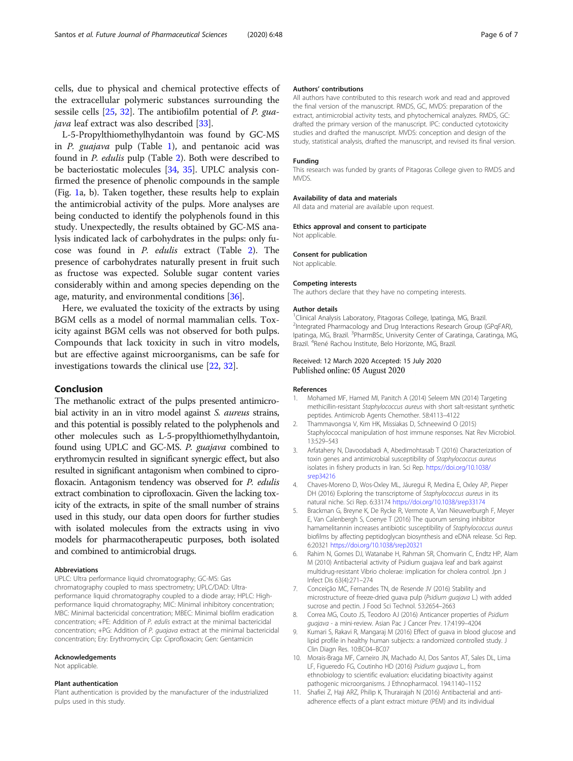<span id="page-5-0"></span>cells, due to physical and chemical protective effects of the extracellular polymeric substances surrounding the sessile cells [[25](#page-6-0), [32\]](#page-6-0). The antibiofilm potential of P. gua*java* leaf extract was also described [[33\]](#page-6-0).

L-5-Propylthiomethylhydantoin was found by GC-MS in  $P$ . *guajava* pulp (Table [1\)](#page-3-0), and pentanoic acid was found in P. edulis pulp (Table [2\)](#page-3-0). Both were described to be bacteriostatic molecules [\[34,](#page-6-0) [35\]](#page-6-0). UPLC analysis confirmed the presence of phenolic compounds in the sample (Fig. [1a](#page-2-0), b). Taken together, these results help to explain the antimicrobial activity of the pulps. More analyses are being conducted to identify the polyphenols found in this study. Unexpectedly, the results obtained by GC-MS analysis indicated lack of carbohydrates in the pulps: only fucose was found in P. edulis extract (Table [2\)](#page-3-0). The presence of carbohydrates naturally present in fruit such as fructose was expected. Soluble sugar content varies considerably within and among species depending on the age, maturity, and environmental conditions [\[36\]](#page-6-0).

Here, we evaluated the toxicity of the extracts by using BGM cells as a model of normal mammalian cells. Toxicity against BGM cells was not observed for both pulps. Compounds that lack toxicity in such in vitro models, but are effective against microorganisms, can be safe for investigations towards the clinical use [[22](#page-6-0), [32](#page-6-0)].

### Conclusion

The methanolic extract of the pulps presented antimicrobial activity in an in vitro model against S. aureus strains, and this potential is possibly related to the polyphenols and other molecules such as L-5-propylthiomethylhydantoin, found using UPLC and GC-MS. P. guajava combined to erythromycin resulted in significant synergic effect, but also resulted in significant antagonism when combined to ciprofloxacin. Antagonism tendency was observed for P. edulis extract combination to ciprofloxacin. Given the lacking toxicity of the extracts, in spite of the small number of strains used in this study, our data open doors for further studies with isolated molecules from the extracts using in vivo models for pharmacotherapeutic purposes, both isolated and combined to antimicrobial drugs.

#### Abbreviations

UPLC: Ultra performance liquid chromatography; GC-MS: Gas chromatography coupled to mass spectrometry; UPLC/DAD: Ultraperformance liquid chromatography coupled to a diode array; HPLC: Highperformance liquid chromatography; MIC: Minimal inhibitory concentration; MBC: Minimal bactericidal concentration; MBEC: Minimal biofilm eradication concentration; +PE: Addition of P. edulis extract at the minimal bactericidal concentration; +PG: Addition of P. guajava extract at the minimal bactericidal concentration; Ery: Erythromycin; Cip: Ciprofloxacin; Gen: Gentamicin

#### Acknowledgements

Not applicable.

#### Plant authentication

Plant authentication is provided by the manufacturer of the industrialized pulps used in this study.

#### Authors' contributions

All authors have contributed to this research work and read and approved the final version of the manuscript. RMDS, GC, MVDS: preparation of the extract, antimicrobial activity tests, and phytochemical analyzes. RMDS, GC: drafted the primary version of the manuscript. IPC: conducted cytotoxicity studies and drafted the manuscript. MVDS: conception and design of the study, statistical analysis, drafted the manuscript, and revised its final version.

#### Funding

This research was funded by grants of Pitagoras College given to RMDS and MVDS.

#### Availability of data and materials

All data and material are available upon request.

#### Ethics approval and consent to participate

Not applicable.

### Consent for publication

Not applicable.

#### Competing interests

The authors declare that they have no competing interests.

#### Author details

<sup>1</sup> Clinical Analysis Laboratory, Pitagoras College, Ipatinga, MG, Brazil. <sup>2</sup>Integrated Pharmacology and Drug Interactions Research Group (GPqFAR), Ipatinga, MG, Brazil. <sup>3</sup>PharmBSc, University Center of Caratinga, Caratinga, MG Brazil. <sup>4</sup>René Rachou Institute, Belo Horizonte, MG, Brazil.

#### Received: 12 March 2020 Accepted: 15 July 2020 Published online: 05 August 2020

#### References

- 1. Mohamed MF, Hamed MI, Panitch A (2014) Seleem MN (2014) Targeting methicillin-resistant Staphylococcus aureus with short salt-resistant synthetic peptides. Antimicrob Agents Chemother. 58:4113–4122
- 2. Thammavongsa V, Kim HK, Missiakas D, Schneewind O (2015) Staphylococcal manipulation of host immune responses. Nat Rev Microbiol. 13:529–543
- 3. Arfatahery N, Davoodabadi A, Abedimohtasab T (2016) Characterization of toxin genes and antimicrobial susceptibility of Staphylococcus aureus isolates in fishery products in Iran. Sci Rep. [https://doi.org/10.1038/](https://doi.org/10.1038/srep34216) [srep34216](https://doi.org/10.1038/srep34216)
- 4. Chaves-Moreno D, Wos-Oxley ML, Jáuregui R, Medina E, Oxley AP, Pieper DH (2016) Exploring the transcriptome of Staphylococcus aureus in its natural niche. Sci Rep. 6:33174 <https://doi.org/10.1038/srep33174>
- 5. Brackman G, Breyne K, De Rycke R, Vermote A, Van Nieuwerburgh F, Meyer E, Van Calenbergh S, Coenye T (2016) The quorum sensing inhibitor hamamelitannin increases antibiotic susceptibility of Staphylococcus aureus biofilms by affecting peptidoglycan biosynthesis and eDNA release. Sci Rep. 6:20321 <https://doi.org/10.1038/srep20321>
- 6. Rahim N, Gomes DJ, Watanabe H, Rahman SR, Chomvarin C, Endtz HP, Alam M (2010) Antibacterial activity of Psidium guajava leaf and bark against multidrug-resistant Vibrio cholerae: implication for cholera control. Jpn J Infect Dis 63(4):271–274
- 7. Conceição MC, Fernandes TN, de Resende JV (2016) Stability and microstructure of freeze-dried guava pulp (Psidium guajava L.) with added sucrose and pectin. J Food Sci Technol. 53:2654–2663
- 8. Correa MG, Couto JS, Teodoro AJ (2016) Anticancer properties of Psidium guajava - a mini-review. Asian Pac J Cancer Prev. 17:4199–4204
- 9. Kumari S, Rakavi R, Mangaraj M (2016) Effect of guava in blood glucose and lipid profile in healthy human subjects: a randomized controlled study. J Clin Diagn Res. 10:BC04–BC07
- 10. Morais-Braga MF, Carneiro JN, Machado AJ, Dos Santos AT, Sales DL, Lima LF, Figueredo FG, Coutinho HD (2016) Psidium guajava L., from ethnobiology to scientific evaluation: elucidating bioactivity against pathogenic microorganisms. J Ethnopharmacol. 194:1140–1152
- 11. Shafiei Z, Haji ARZ, Philip K, Thurairajah N (2016) Antibacterial and antiadherence effects of a plant extract mixture (PEM) and its individual